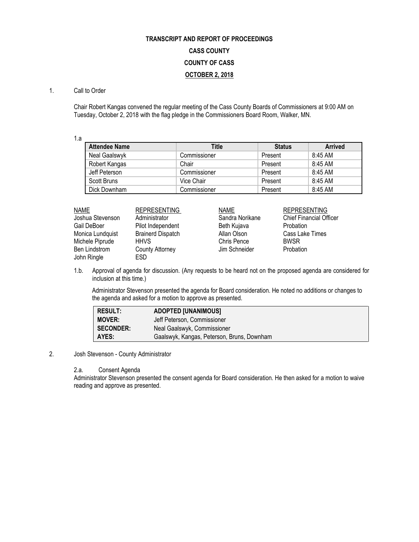## **TRANSCRIPT AND REPORT OF PROCEEDINGS CASS COUNTY COUNTY OF CASS OCTOBER 2, 2018**

## 1. Call to Order

Chair Robert Kangas convened the regular meeting of the Cass County Boards of Commissioners at 9:00 AM on Tuesday, October 2, 2018 with the flag pledge in the Commissioners Board Room, Walker, MN.

1.a

| <b>Attendee Name</b> | Title        | <b>Status</b> | <b>Arrived</b> |
|----------------------|--------------|---------------|----------------|
| Neal Gaalswyk        | Commissioner | Present       | 8:45 AM        |
| Robert Kangas        | Chair        | Present       | 8:45 AM        |
| Jeff Peterson        | Commissioner | Present       | 8:45 AM        |
| Scott Bruns          | Vice Chair   | Present       | 8:45 AM        |
| Dick Downham         | Commissioner | Present       | 8:45 AM        |

| <b>NAME</b>          | <b>REPRESENTING</b>      | <b>NAME</b>     | <b>REPRESENTING</b>            |
|----------------------|--------------------------|-----------------|--------------------------------|
| Joshua Stevenson     | Administrator            | Sandra Norikane | <b>Chief Financial Officer</b> |
| Gail DeBoer          | Pilot Independent        | Beth Kujava     | <b>Probation</b>               |
| Monica Lundquist     | <b>Brainerd Dispatch</b> | Allan Olson     | Cass Lake Times                |
| Michele Piprude      | <b>HHVS</b>              | Chris Pence     | <b>BWSR</b>                    |
| <b>Ben Lindstrom</b> | <b>County Attorney</b>   | Jim Schneider   | Probation                      |
| John Ringle          | ESD                      |                 |                                |

1.b. Approval of agenda for discussion. (Any requests to be heard not on the proposed agenda are considered for inclusion at this time.)

Administrator Stevenson presented the agenda for Board consideration. He noted no additions or changes to the agenda and asked for a motion to approve as presented.

| <b>RESULT:</b>   | <b>ADOPTED [UNANIMOUS]</b>                 |
|------------------|--------------------------------------------|
| <b>MOVER:</b>    | Jeff Peterson, Commissioner                |
| <b>SECONDER:</b> | Neal Gaalswyk, Commissioner                |
| AYES:            | Gaalswyk, Kangas, Peterson, Bruns, Downham |

## 2. Josh Stevenson - County Administrator

## 2.a. Consent Agenda

Administrator Stevenson presented the consent agenda for Board consideration. He then asked for a motion to waive reading and approve as presented.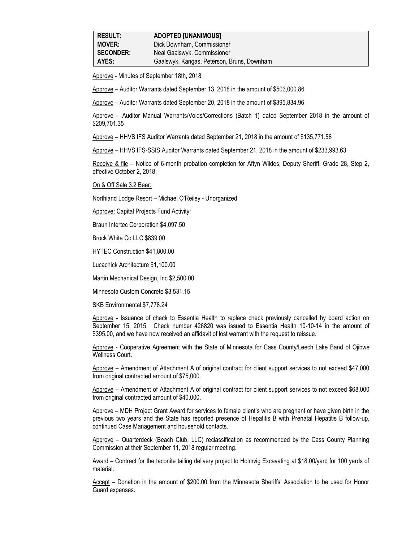| <b>RESULT:</b>   | <b>ADOPTED [UNANIMOUS]</b>                 |  |
|------------------|--------------------------------------------|--|
| <b>MOVER:</b>    | Dick Downham, Commissioner                 |  |
| <b>SECONDER:</b> | Neal Gaalswyk, Commissioner                |  |
| AYES:            | Gaalswyk, Kangas, Peterson, Bruns, Downham |  |

Approve - Minutes of September 18th, 2018

Approve – Auditor Warrants dated September 13, 2018 in the amount of \$503,000.86

Approve – Auditor Warrants dated September 20, 2018 in the amount of \$395,834.96

Approve – Auditor Manual Warrants/Voids/Corrections (Batch 1) dated September 2018 in the amount of \$209,701.35

Approve – HHVS IFS Auditor Warrants dated September 21, 2018 in the amount of \$135,771.58

Approve – HHVS IFS-SSIS Auditor Warrants dated September 21, 2018 in the amount of \$233,993.63

Receive & file – Notice of 6-month probation completion for Aftyn Wildes, Deputy Sheriff, Grade 28, Step 2, effective October 2, 2018.

On & Off Sale 3.2 Beer:

Northland Lodge Resort – Michael O'Reiley - Unorganized

Approve: Capital Projects Fund Activity:

Braun Intertec Corporation \$4,097.50

Brock White Co LLC \$839.00

HYTEC Construction \$41,800.00

Lucachick Architecture \$1,100.00

Martin Mechanical Design, Inc \$2,500.00

Minnesota Custom Concrete \$3,531.15

SKB Environmental \$7,778.24

Approve - Issuance of check to Essentia Health to replace check previously cancelled by board action on September 15, 2015. Check number 426820 was issued to Essentia Health 10-10-14 in the amount of \$395.00, and we have now received an affidavit of lost warrant with the request to reissue.

Approve - Cooperative Agreement with the State of Minnesota for Cass County/Leech Lake Band of Ojibwe Wellness Court.

Approve – Amendment of Attachment A of original contract for client support services to not exceed \$47,000 from original contracted amount of \$75,000.

Approve – Amendment of Attachment A of original contract for client support services to not exceed \$68,000 from original contracted amount of \$40,000.

Approve – MDH Project Grant Award for services to female client's who are pregnant or have given birth in the previous two years and the State has reported presence of Hepatitis B with Prenatal Hepatitis B follow-up, continued Case Management and household contacts.

Approve – Quarterdeck (Beach Club, LLC) reclassification as recommended by the Cass County Planning Commission at their September 11, 2018 regular meeting.

Award – Contract for the taconite tailing delivery project to Holmvig Excavating at \$18.00/yard for 100 yards of material.

Accept – Donation in the amount of \$200.00 from the Minnesota Sheriffs' Association to be used for Honor Guard expenses.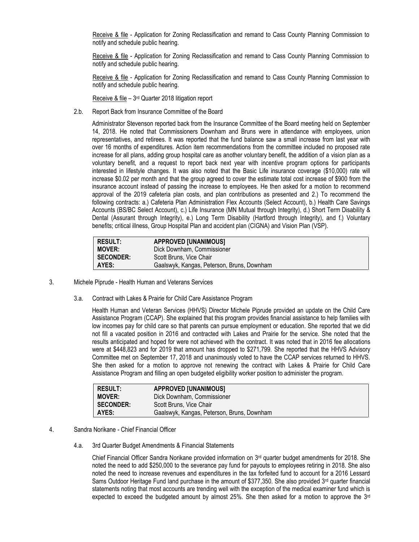Receive & file - Application for Zoning Reclassification and remand to Cass County Planning Commission to notify and schedule public hearing.

Receive & file - Application for Zoning Reclassification and remand to Cass County Planning Commission to notify and schedule public hearing.

Receive & file - Application for Zoning Reclassification and remand to Cass County Planning Commission to notify and schedule public hearing.

Receive & file - 3<sup>rd</sup> Quarter 2018 litigation report

2.b. Report Back from Insurance Committee of the Board

Administrator Stevenson reported back from the Insurance Committee of the Board meeting held on September 14, 2018. He noted that Commissioners Downham and Bruns were in attendance with employees, union representatives, and retirees. It was reported that the fund balance saw a small increase from last year with over 16 months of expenditures. Action item recommendations from the committee included no proposed rate increase for all plans, adding group hospital care as another voluntary benefit, the addition of a vision plan as a voluntary benefit, and a request to report back next year with incentive program options for participants interested in lifestyle changes. It was also noted that the Basic Life insurance coverage (\$10,000) rate will increase \$0.02 per month and that the group agreed to cover the estimate total cost increase of \$900 from the insurance account instead of passing the increase to employees. He then asked for a motion to recommend approval of the 2019 cafeteria plan costs, and plan contributions as presented and 2.) To recommend the following contracts: a.) Cafeteria Plan Administration Flex Accounts (Select Account), b.) Health Care Savings Accounts (BS/BC Select Account), c.) Life Insurance (MN Mutual through Integrity), d.) Short Term Disability & Dental (Assurant through Integrity), e.) Long Term Disability (Hartford through Integrity), and f.) Voluntary benefits; critical illness, Group Hospital Plan and accident plan (CIGNA) and Vision Plan (VSP).

| <b>RESULT:</b>   | <b>APPROVED [UNANIMOUS]</b>                |
|------------------|--------------------------------------------|
| <b>MOVER:</b>    | Dick Downham, Commissioner                 |
| <b>SECONDER:</b> | Scott Bruns, Vice Chair                    |
| AYES:            | Gaalswyk, Kangas, Peterson, Bruns, Downham |

- 3. Michele Piprude Health Human and Veterans Services
	- 3.a. Contract with Lakes & Prairie for Child Care Assistance Program

Health Human and Veteran Services (HHVS) Director Michele Piprude provided an update on the Child Care Assistance Program (CCAP). She explained that this program provides financial assistance to help families with low incomes pay for child care so that parents can pursue employment or education. She reported that we did not fill a vacated position in 2016 and contracted with Lakes and Prairie for the service. She noted that the results anticipated and hoped for were not achieved with the contract. It was noted that in 2016 fee allocations were at \$448,823 and for 2019 that amount has dropped to \$271,799. She reported that the HHVS Advisory Committee met on September 17, 2018 and unanimously voted to have the CCAP services returned to HHVS. She then asked for a motion to approve not renewing the contract with Lakes & Prairie for Child Care Assistance Program and filling an open budgeted eligibility worker position to administer the program.

| <b>RESULT:</b>   | <b>APPROVED [UNANIMOUS]</b>                |
|------------------|--------------------------------------------|
| <b>MOVER:</b>    | Dick Downham, Commissioner                 |
| <b>SECONDER:</b> | Scott Bruns, Vice Chair                    |
| AYES:            | Gaalswyk, Kangas, Peterson, Bruns, Downham |

- 4. Sandra Norikane Chief Financial Officer
	- 4.a. 3rd Quarter Budget Amendments & Financial Statements

Chief Financial Officer Sandra Norikane provided information on  $3<sup>rd</sup>$  quarter budget amendments for 2018. She noted the need to add \$250,000 to the severance pay fund for payouts to employees retiring in 2018. She also noted the need to increase revenues and expenditures in the tax forfeited fund to account for a 2016 Lessard Sams Outdoor Heritage Fund land purchase in the amount of \$377,350. She also provided  $3^{rd}$  quarter financial statements noting that most accounts are trending well with the exception of the medical examiner fund which is expected to exceed the budgeted amount by almost 25%. She then asked for a motion to approve the  $3^{rd}$